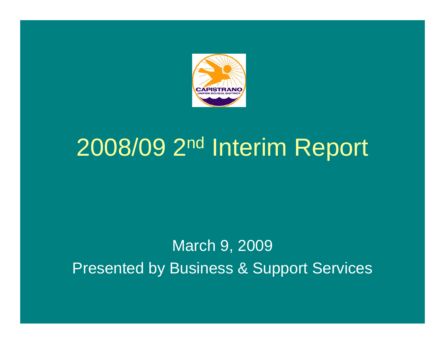

# 2008/09 2nd Interim Report

### March 9, 2009 Presented by Business & Support Services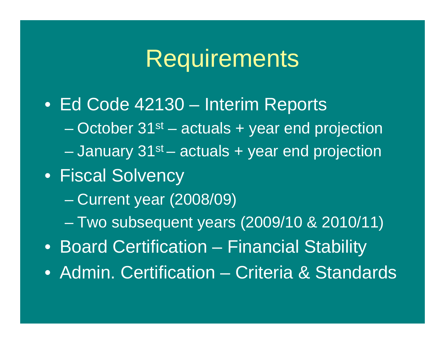# **Requirements**

- Ed Code 42130 Interim Reports
	- October 31st actuals + year end projection
	- January 31st actuals + year end projection
- Fiscal Solvency
	- Current year (2008/09)
	- Two subsequent years (2009/10 & 2010/11)
- Board Certification Financial Stability
- Admin. Certification Criteria & Standards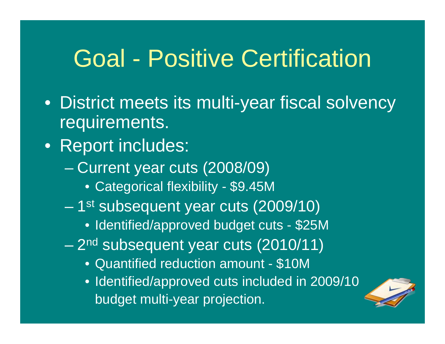# Goal - Positive Certification

- District meets its multi-year fiscal solvency requirements.
- Report includes:
	- Current year cuts (2008/09)
		- Categorical flexibility \$9.45M
	- 1<sup>st</sup> subsequent year cuts (2009/10)
		- Identified/approved budget cuts \$25M
	- 2<sup>nd</sup> subsequent year cuts (2010/11)
		- Quantified reduction amount \$10M
		- Identified/approved cuts included in 2009/10 budget multi-year projection.

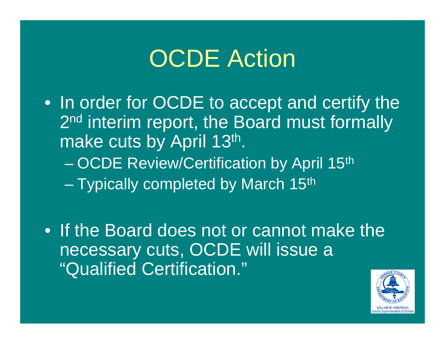# OCDE Action

- In order for OCDE to accept and certify the 2<sup>nd</sup> interim report, the Board must formally make cuts by April 13th. – OCDE Review/Certification by April 15th
	- Typically completed by March 15th
- If the Board does not or cannot make the necessary cuts, OCDE will issue a "Qualified Certification."

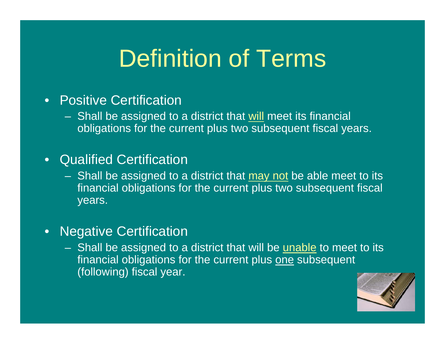# Definition of Terms

#### • Positive Certification

– Shall be assigned to a district that will meet its financial obligations for the current plus two subsequent fiscal years.

#### • Qualified Certification

- Shall be assigned to a district that may not be able meet to its financial obligations for the current plus two subsequent fiscal years.
- Negative Certification
	- Shall be assigned to a district that will be unable to meet to its financial obligations for the current plus one subsequent (following) fiscal year.

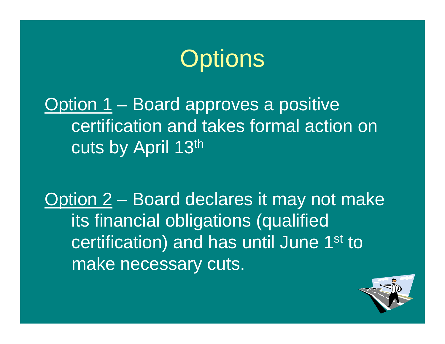

### Option 1 – Board approves a positive certification and takes formal action on cuts by April 13th

Option 2 – Board declares it may not make its financial obligations (qualified certification) and has until June 1<sup>st</sup> to make necessary cuts.

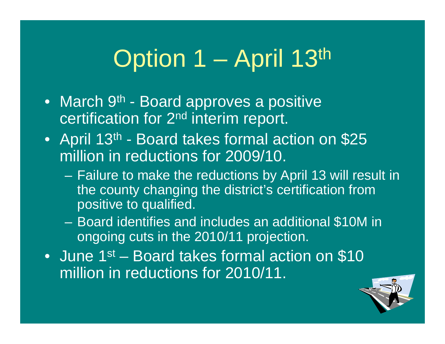# Option 1 – April 13th

- March 9<sup>th</sup> Board approves a positive certification for 2nd interim report.
- April 13<sup>th</sup> Board takes formal action on \$25 million in reductions for 2009/10.
	- Failure to make the reductions by April 13 will result in the county changing the district's certification from positive to qualified.
	- Board identifies and includes an additional \$10M in ongoing cuts in the 2010/11 projection.
- June 1<sup>st</sup> Board takes formal action on \$10 million in reductions for 2010/11.

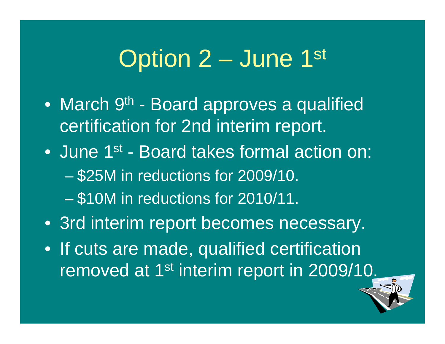# Option 2 – June 1st

- March 9<sup>th</sup> Board approves a qualified certification for 2nd interim report.
- June 1<sup>st</sup> Board takes formal action on: – \$25M in reductions for 2009/10. – \$10M in reductions for 2010/11.
- 3rd interim report becomes necessary.
- If cuts are made, qualified certification removed at 1<sup>st</sup> interim report in 2009/10.

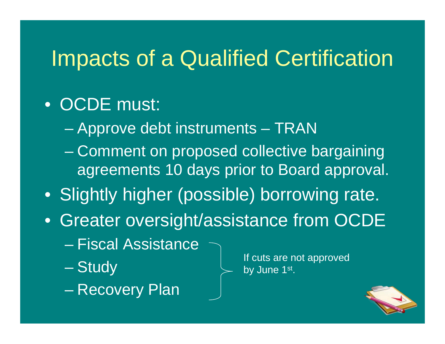## Impacts of a Qualified Certification

### • OCDE must:

- Approve debt instruments TRAN
- Comment on proposed collective bargaining agreements 10 days prior to Board approval.
- Slightly higher (possible) borrowing rate.
- Greater oversight/assistance from OCDE
	- Fiscal Assistance
	- Study
	- Recovery Plan

If cuts are not approved by June 1st.

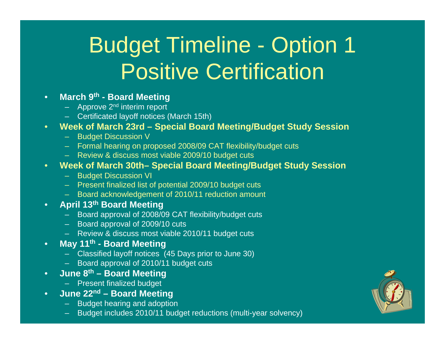# Budget Timeline - Option 1 Positive Certification

#### • **March 9th - Board Meetin g**

- $-$  Approve 2<sup>nd</sup> interim report
- Certificated layoff notices (March 15th)
- **Week of March 23rd Special Board Meeting/Budget Study Session**
	- Budget Discussion V
	- Formal hearing on proposed 2008/09 CAT flexibility/budget cuts
	- Review & discuss most viable 2009/10 budget cuts
- **Week of March 30th– Special Board Meeting/Budget Study Session**
	- Budget Discussion VI
	- Present finalized list of potential 2009/10 budget cuts
	- Board acknowledgement of 2010/11 reduction amount
- **April 13th Board Meeting**
	- Board approval of 2008/09 CAT flexibility/budget cuts
	- Board approval of 2009/10 cuts
	- Review & discuss most viable 2010/11 budget cuts
- **May 11th - Board Meetin g**
	- Classified layoff notices (45 Days prior to June 30)
	- Board approval of 2010/11 budget cuts
- **June 8th – Board Meetin g**
	- Present finalized budget
- **June 22nd Board Meeting**
	- Budget hearing and adoption
	- Budget includes 2010/11 budget reductions (multi-year solvency)

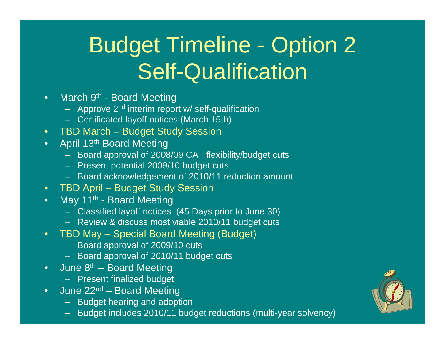# Budget Timeline - Option 2 Self-Qualification

- March 9<sup>th</sup> Board Meeting
	- Approve 2<sup>nd</sup> interim report w/ self-qualification
	- Certificated layoff notices (March 15th)
- TBD March Budget Study Session
- April 13<sup>th</sup> Board Meeting
	- Board approval of 2008/09 CAT flexibility/budget cuts
	- Present potential 2009/10 budget cuts
	- Board acknowledgement of 2010/11 reduction amount
- TBD April Budget Study Session
- May 11<sup>th</sup> Board Meeting
	- Classified layoff notices (45 Days prior to June 30)
	- Review & discuss most viable 2010/11 budget cuts
- TBD May Special Board Meeting (Budget)
	- Board approval of 2009/10 cuts
	- Board approval of 2010/11 budget cuts
- June  $8<sup>th</sup>$  Board Meeting
	- Present finalized budget
- June  $22^{nd}$  Board Meeting
	- Budget hearing and adoption
	- Budget includes 2010/11 budget reductions (multi-year solvency)